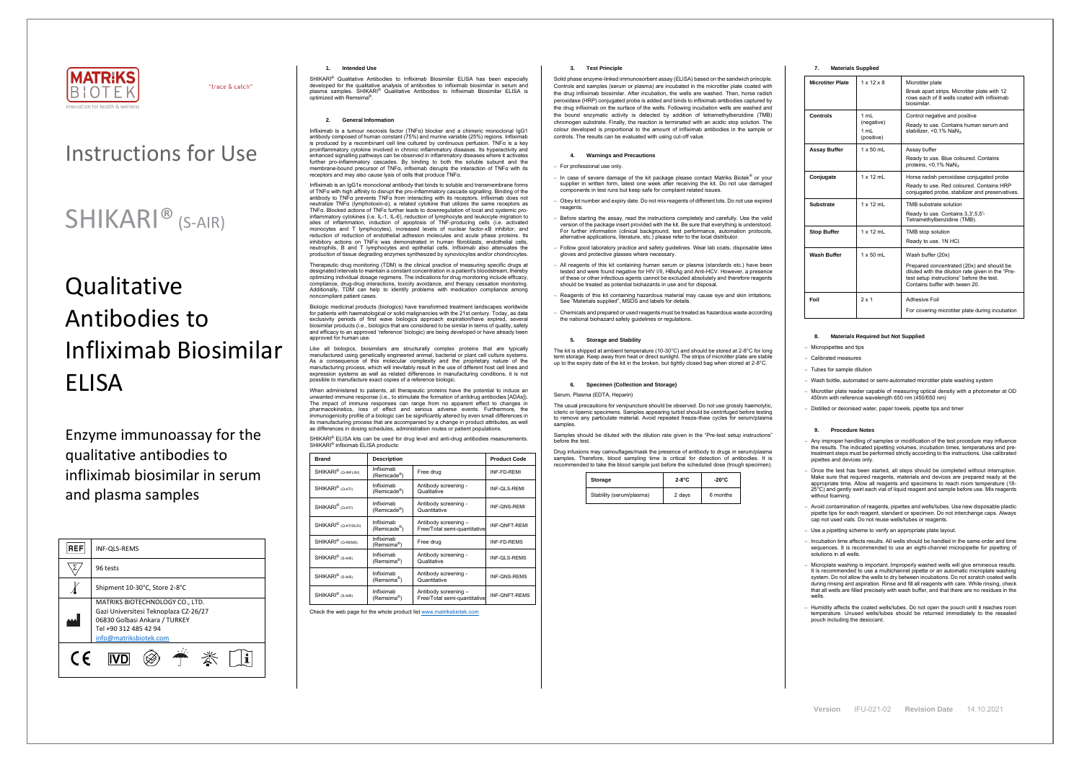

"trace & catch"

# Instructions for Use

# **Qualitative** Antibodies to Infliximab Biosimilar ELISA

# SHIKARI® (S-AIR)

Enzyme immunoassay for the qualitative antibodies to infliximab biosimilar in serum and plasma samples

| <b>REF</b> | <b>INF-OLS-REMS</b>                                                                                                                                          |
|------------|--------------------------------------------------------------------------------------------------------------------------------------------------------------|
|            | 96 tests                                                                                                                                                     |
|            | Shipment 10-30°C, Store 2-8°C                                                                                                                                |
|            | MATRIKS BIOTECHNOLOGY CO., LTD.<br>Gazi Universitesi Teknoplaza CZ-26/27<br>06830 Golbasi Ankara / TURKEY<br>Tel +90 312 485 42 94<br>info@matriksbiotek.com |
|            |                                                                                                                                                              |

# **1. Intended Use**

SHIKARI® Qualitative Antibodies to Infliximab Biosimilar ELISA has been especially developed for the qualitative analysis of antibodies to infliximab biosimilar in serum and plasma samples. SHIKARI® Qualitative Antibodies to Infliximab Biosimilar ELISA is optimized with Remsima .

## **2. General Information**

Infliximab is a tumour necrosis factor (TNFα) blocker and a chimeric monoclonal IgG1 antibody composed of human constant (75%) and murine variable (25%) regions. Infliximab is produced by a recombinant cell line cultured by continuous perfusion. TNFα is a key proinflammatory cytokine involved in chronic inflammatory diseases. Its hyperactivity and enhanced signalling pathways can be observed in inflammatory diseases where it activates further pro-inflammatory cascades. By binding to both the soluble subunit and the membrane-bound precursor of TNFα, infliximab disrupts the interaction of TNFα with its<br>membrane-bound precursor of TNFα, infliximab disrupts the interaction of TNFα with its receptors and may also cause lysis of cells that produce TNFα.

Infliximab is an IgG1κ monoclonal antibody that binds to soluble and transmembrane forms of TNFα with high affinity to disrupt the pro-inflammatory cascade signalling. Binding of the antibody to TNFα prevents TNFα from interacting with its receptors. Infliximab does not neutralize TNFα (lymphotoxin-α), a related cytokine that utilizes the same receptors as TNFα. Blocked actions of TNFα further leads to downregulation of local and systemic proinflammatory cytokines (i.e. IL-1, IL-6), reduction of lymphocyte and leukocyte migration to sites of inflammation, induction of apoptosis of TNF-producing cells (i.e. activated monocytes and T lymphocytes), increased levels of nuclear factor-κB inhibitor, and reduction of reduction of endothelial adhesion molecules and acute phase proteins. Its inhibitory actions on TNFα was demonstrated in human fibroblasts, endothelial cells, neutrophils, B and T lymphocytes and epithelial cells. Infliximab also attenuates the production of tissue degrading enzymes synthesized by synoviocytes and/or chondrocytes.

When administered to patients, all therapeutic proteins have the potential to induce an unwanted immune response (i.e., to stimulate the formation of antidrug antibodies [ADAs]). The impact of immune responses can range from no apparent effect to changes in pharmacokinetics, loss of effect and serious adverse events. Furthermore, the immunogenicity profile of a biologic can be significantly altered by even small differences in its manufacturing process that are accompanied by a change in product attributes, as well as differences in dosing schedules, administration routes or patient populations.

SHIKARI<sup>®</sup> ELISA kits can be used for drug level and anti-drug antibodies measurements. SHIKARI<sup>®</sup> infliximab ELISA products:

Therapeutic drug monitoring (TDM) is the clinical practice of measuring specific drugs at designated intervals to maintain a constant concentration in a patient's bloodstream, thereby optimizing individual dosage regimens. The indications for drug monitoring include efficacy, compliance, drug-drug interactions, toxicity avoidance, and therapy cessation monitoring. Additionally, TDM can help to identify problems with medication compliance among noncompliant patient cases.

Biologic medicinal products (biologics) have transformed treatment landscapes worldwide for patients with haematological or solid malignancies with the 21st century. Today, as data exclusivity periods of first wave biologics approach expiration/have expired, several biosimilar products (i.e., biologics that are considered to be similar in terms of quality, safety and efficacy to an approved 'reference' biologic) are being developed or have already been approved for human use.

Like all biologics, biosimilars are structurally complex proteins that are typically manufactured using genetically engineered animal, bacterial or plant cell culture systems. As a consequence of this molecular complexity and the proprietary nature of the manufacturing process, which will inevitably result in the use of different host cell lines and expression systems as well as related differences in manufacturing conditions, it is not possible to manufacture exact copies of a reference biologic.

| <b>Brand</b>                     | <b>Description</b>                    |                                                      | <b>Product Code</b>  |
|----------------------------------|---------------------------------------|------------------------------------------------------|----------------------|
| SHIKARI <sup>®</sup> (Q-INFLIXI) | Infliximab<br>(Remicade®)             | Free drug                                            | INF-FD-REMI          |
| SHIKARI <sup>®</sup> (Q-ATI)     | Infliximab<br>(Remicade®)             | Antibody screening -<br>Qualitative                  | INF-QLS-REMI         |
| SHIKARI <sup>®</sup> (Q-ATI)     | Infliximab<br>(Remicade®)             | Antibody screening -<br>Quantitative                 | <b>INF-QNS-REMI</b>  |
| SHIKARI <sup>®</sup> (Q-ATIDUO)  | Infliximab<br>(Remicade®)             | Antibody screening -<br>Free/Total semi-quantitative | <b>INF-ONFT-REMI</b> |
| SHIKARI <sup>®</sup> (Q-REMS)    | Infliximab<br>(Remsima <sup>®</sup> ) | Free drug                                            | INF-FD-REMS          |
| SHIKARI <sup>®</sup> (S-AIR)     | Infliximab<br>(Remsima®)              | Antibody screening -<br>Qualitative                  | INF-QLS-REMS         |
| SHIKARI <sup>®</sup> (S-AIR)     | Infliximab<br>(Remsima®)              | Antibody screening -<br>Quantitative                 | <b>INF-ONS-REMS</b>  |
| SHIKARI <sup>®</sup> (S-AIR)     | Infliximab<br>(Remsima®)              | Antibody screening -<br>Free/Total semi-quantitative | <b>INF-ONFT-REMS</b> |

Any improper handling of samples or modification of the test procedure may influence the results. The indicated pipetting volumes, incubation times, temperatures and pretreatment steps must be performed strictly according to the instructions. Use calibrate pipettes and devices only.

− Once the test has been started, all steps should be completed without interruption. Make sure that required reagents, materials and devices are prepared ready at the appropriate time. Allow all reagents and specimens to reach room temperature (18- 25°C) and gently swirl each vial of liquid reagent and sample before use. Mix reagents without foaming

Check the web page for the whole product lis[t www.matriksbiotek.com](http://www.matriksbiotek.com/)

# **3. Test Principle**

− Incubation time affects results. All wells should be handled in the same order and time sequences. It is recommended to use an eight-channel micropipette for pipetting of solutions in all wells.

Solid phase enzyme-linked immunosorbent assay (ELISA) based on the sandwich principle. Controls and samples (serum or plasma) are incubated in the microtiter plate coated with the drug infliximab biosimilar. After incubation, the wells are washed. Then, horse radish peroxidase (HRP) conjugated probe is added and binds to infliximab antibodies captured by the drug infliximab on the surface of the wells. Following incubation wells are washed and the bound enzymatic activity is detected by addition of tetramethylbenzidine (TMB) chromogen substrate. Finally, the reaction is terminated with an acidic stop solution. The colour developed is proportional to the amount of infliximab antibodies in the sample or controls. The results can be evaluated with using cut-off value.

# **4. Warnings and Precautions**

# − For professional use only.

- − In case of severe damage of the kit package please contact Matriks Biotek® or your supplier in written form, latest one week after receiving the kit. Do not use damaged components in test runs but keep safe for complaint related issues.
- − Obey lot number and expiry date. Do not mix reagents of different lots. Do not use expired regnents
- − Before starting the assay, read the instructions completely and carefully. Use the valid version of the package insert provided with the kit. Be sure that everything is understood. For further information (clinical background, test performance, automation protocols, alternative applications, literature, etc.) please refer to the local distributor.
- − Follow good laboratory practice and safety guidelines. Wear lab coats, disposable latex gloves and protective glasses where necessary.
- − All reagents of this kit containing human serum or plasma (standards etc.) have been tested and were found negative for HIV I/II, HBsAg and Anti-HCV. However, a presence of these or other infectious agents cannot be excluded absolutely and therefore reagents should be treated as potential biohazards in use and for disposal.
- Reagents of this kit containing hazardous material may cause eye and skin irritations. See "Materials supplied", MSDS and labels for details.
- − Chemicals and prepared or used reagents must be treated as hazardous waste according the national biohazard safety guidelines or regulations.

### **5. Storage and Stability**

The kit is shipped at ambient temperature (10-30°C) and should be stored at 2-8°C for long the art is simpled at all bish temperature (10 SO S) and should be stelled at 2 S S for long<br>erm storage. Keep away from heat or direct sunlight. The strips of microtiter plate are stable up to the expiry date of the kit in the broken, but tightly closed bag when stored at 2-8°C.

# **6. Specimen (Collection and Storage)**

Serum, Plasma (EDTA, Heparin)

The usual precautions for venipuncture should be observed. Do not use grossly haemolytic, icteric or lipemic specimens. Samples appearing turbid should be centrifuged before testing to remove any particulate material. Avoid repeated freeze-thaw cycles for serum/plasma samples.

Samples should be diluted with the dilution rate given in the "Pre-test setup instructions" before the test.

Drug infusions may camouflages/mask the presence of antibody to drugs in serum/plasma samples. Therefore, blood sampling time is critical for detection of antibodies. It is recommended to take the blood sample just before the scheduled dose (trough specimen).

| Storage                  | $2-8^{\circ}C$ | -20°C    |
|--------------------------|----------------|----------|
| Stability (serum/plasma) | 2 days         | 6 months |

# **7. Materials Supplied**

| <b>Microtiter Plate</b> | $1 \times 12 \times 8$                   | Microtiter plate<br>Break apart strips. Microtiter plate with 12<br>rows each of 8 wells coated with infliximab<br>biosimilar.                                                                     |
|-------------------------|------------------------------------------|----------------------------------------------------------------------------------------------------------------------------------------------------------------------------------------------------|
| Controls                | 1 mL<br>(negative)<br>1 ml<br>(positive) | Control negative and positive<br>Ready to use. Contains human serum and<br>stabilizer. < 0.1% NaN <sub>3</sub> .                                                                                   |
| <b>Assay Buffer</b>     | $1 \times 50$ mL                         | Assay buffer<br>Ready to use. Blue coloured. Contains<br>proteins, $< 0.1\%$ NaN <sub>3</sub> .                                                                                                    |
| Conjugate               | $1 \times 12$ mL                         | Horse radish peroxidase conjugated probe<br>Ready to use. Red coloured. Contains HRP<br>conjugated probe, stabilizer and preservatives.                                                            |
| <b>Substrate</b>        | $1 \times 12$ ml                         | TMB substrate solution<br>Ready to use. Contains 3,3',5,5'-<br>Tetramethylbenzidine (TMB).                                                                                                         |
| <b>Stop Buffer</b>      | $1 \times 12$ ml                         | TMB stop solution<br>Ready to use. 1N HCl.                                                                                                                                                         |
| <b>Wash Buffer</b>      | $1 \times 50$ ml                         | Wash buffer (20x)<br>Prepared concentrated (20x) and should be<br>diluted with the dilution rate given in the "Pre-<br>test setup instructions" before the test.<br>Contains buffer with tween 20. |
| Foil                    | $2 \times 1$                             | <b>Adhesive Foil</b><br>For covering microtiter plate during incubation                                                                                                                            |

# 8. **Materials Required but Not Supplie**

− Micropipettes and tips

− Calibrated measures

− Tubes for sample dilution

− Wash bottle, automated or semi-automated microtiter plate washing system

− Microtiter plate reader capable of measuring optical density with a photometer at OD 450nm with reference wavelength 650 nm (450/650 nm)

− Distilled or deionised water, paper towels, pipette tips and timer

#### **9. Procedure Notes**

− Avoid contamination of reagents, pipettes and wells/tubes. Use new disposable plastic pipette tips for each reagent, standard or specimen. Do not interchange caps. Always cap not used vials. Do not reuse wells/tubes or reagents.

− Use a pipetting scheme to verify an appropriate plate layout.

− Microplate washing is important. Improperly washed wells will give erroneous results. It is recommended to use a multichannel pipette or an automatic microplate washing system. Do not allow the wells to dry between incubations. Do not scratch coated wells during rinsing and aspiration. Rinse and fill all reagents with care. While rinsing, check that all wells are filled precisely with wash buffer, and that there are no residues in the wells.

− Humidity affects the coated wells/tubes. Do not open the pouch until it reaches room temperature. Unused wells/tubes should be returned immediately to the resealed pouch including the desiccant.